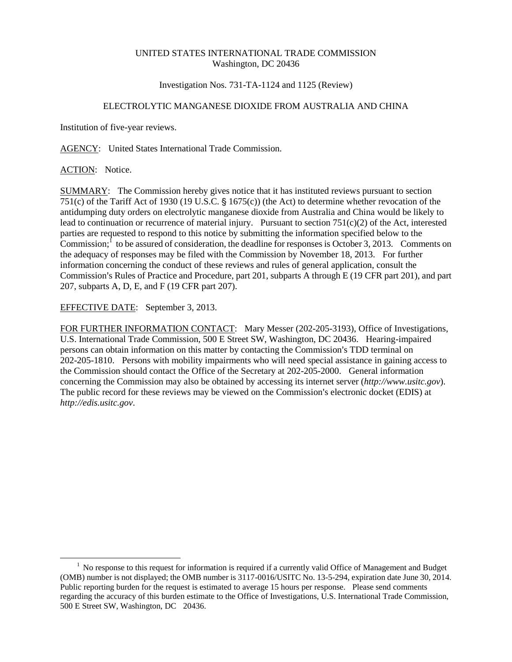## UNITED STATES INTERNATIONAL TRADE COMMISSION Washington, DC 20436

## Investigation Nos. 731-TA-1124 and 1125 (Review)

# ELECTROLYTIC MANGANESE DIOXIDE FROM AUSTRALIA AND CHINA

Institution of five-year reviews.

AGENCY: United States International Trade Commission.

## ACTION: Notice.

 $\overline{a}$ 

SUMMARY: The Commission hereby gives notice that it has instituted reviews pursuant to section 751(c) of the Tariff Act of 1930 (19 U.S.C.  $\S$  1675(c)) (the Act) to determine whether revocation of the antidumping duty orders on electrolytic manganese dioxide from Australia and China would be likely to lead to continuation or recurrence of material injury. Pursuant to section 751(c)(2) of the Act, interested parties are requested to respond to this notice by submitting the information specified below to the Commission;  $\frac{1}{1}$  to be assured of consideration, the deadline for responses is October 3, 2013. Comments on the adequacy of responses may be filed with the Commission by November 18, 2013. For further information concerning the conduct of these reviews and rules of general application, consult the Commission's Rules of Practice and Procedure, part 201, subparts A through E (19 CFR part 201), and part 207, subparts A, D, E, and F (19 CFR part 207).

EFFECTIVE DATE: September 3, 2013.

FOR FURTHER INFORMATION CONTACT: Mary Messer (202-205-3193), Office of Investigations, U.S. International Trade Commission, 500 E Street SW, Washington, DC 20436. Hearing-impaired persons can obtain information on this matter by contacting the Commission's TDD terminal on 202-205-1810. Persons with mobility impairments who will need special assistance in gaining access to the Commission should contact the Office of the Secretary at 202-205-2000. General information concerning the Commission may also be obtained by accessing its internet server (*http://www.usitc.gov*). The public record for these reviews may be viewed on the Commission's electronic docket (EDIS) at *http://edis.usitc.gov*.

 $<sup>1</sup>$  No response to this request for information is required if a currently valid Office of Management and Budget</sup> (OMB) number is not displayed; the OMB number is 3117-0016/USITC No. 13-5-294, expiration date June 30, 2014. Public reporting burden for the request is estimated to average 15 hours per response. Please send comments regarding the accuracy of this burden estimate to the Office of Investigations, U.S. International Trade Commission, 500 E Street SW, Washington, DC 20436.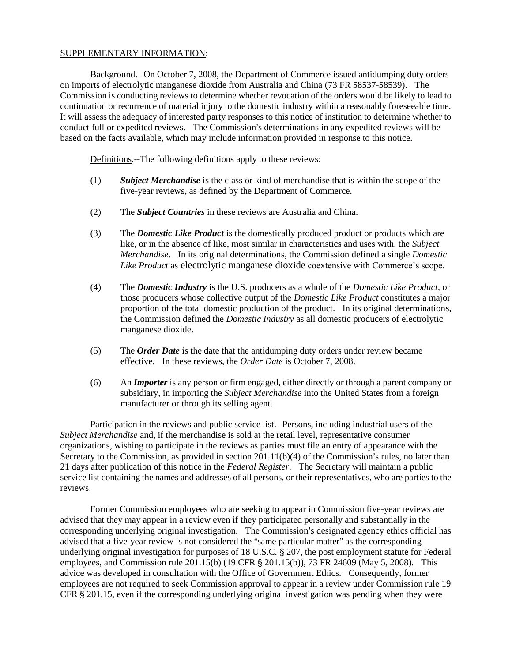#### SUPPLEMENTARY INFORMATION:

Background.--On October 7, 2008, the Department of Commerce issued antidumping duty orders on imports of electrolytic manganese dioxide from Australia and China (73 FR 58537-58539). The Commission is conducting reviews to determine whether revocation of the orders would be likely to lead to continuation or recurrence of material injury to the domestic industry within a reasonably foreseeable time. It will assess the adequacy of interested party responses to this notice of institution to determine whether to conduct full or expedited reviews. The Commission's determinations in any expedited reviews will be based on the facts available, which may include information provided in response to this notice.

Definitions.--The following definitions apply to these reviews:

- (1) *Subject Merchandise* is the class or kind of merchandise that is within the scope of the five-year reviews, as defined by the Department of Commerce.
- (2) The *Subject Countries* in these reviews are Australia and China.
- (3) The *Domestic Like Product* is the domestically produced product or products which are like, or in the absence of like, most similar in characteristics and uses with, the *Subject Merchandise*. In its original determinations, the Commission defined a single *Domestic Like Product* as electrolytic manganese dioxide coextensive with Commerce's scope.
- (4) The *Domestic Industry* is the U.S. producers as a whole of the *Domestic Like Product*, or those producers whose collective output of the *Domestic Like Product* constitutes a major proportion of the total domestic production of the product. In its original determinations, the Commission defined the *Domestic Industry* as all domestic producers of electrolytic manganese dioxide.
- (5) The *Order Date* is the date that the antidumping duty orders under review became effective. In these reviews, the *Order Date* is October 7, 2008.
- (6) An *Importer* is any person or firm engaged, either directly or through a parent company or subsidiary, in importing the *Subject Merchandise* into the United States from a foreign manufacturer or through its selling agent.

Participation in the reviews and public service list.--Persons, including industrial users of the *Subject Merchandise* and, if the merchandise is sold at the retail level, representative consumer organizations, wishing to participate in the reviews as parties must file an entry of appearance with the Secretary to the Commission, as provided in section  $201.11(b)(4)$  of the Commission's rules, no later than 21 days after publication of this notice in the *Federal Register*. The Secretary will maintain a public service list containing the names and addresses of all persons, or their representatives, who are parties to the reviews.

Former Commission employees who are seeking to appear in Commission five-year reviews are advised that they may appear in a review even if they participated personally and substantially in the corresponding underlying original investigation. The Commission's designated agency ethics official has advised that a five-year review is not considered the "same particular matter" as the corresponding underlying original investigation for purposes of 18 U.S.C. § 207, the post employment statute for Federal employees, and Commission rule  $201.15(b)$  (19 CFR § 201.15(b)), 73 FR 24609 (May 5, 2008). This advice was developed in consultation with the Office of Government Ethics. Consequently, former employees are not required to seek Commission approval to appear in a review under Commission rule 19 CFR  $\S 201.15$ , even if the corresponding underlying original investigation was pending when they were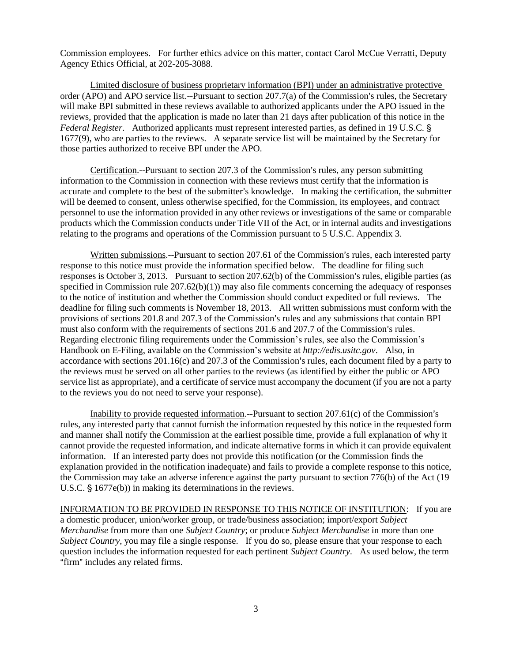Commission employees. For further ethics advice on this matter, contact Carol McCue Verratti, Deputy Agency Ethics Official, at 202-205-3088.

Limited disclosure of business proprietary information (BPI) under an administrative protective order (APO) and APO service list.--Pursuant to section  $207.7(a)$  of the Commission's rules, the Secretary will make BPI submitted in these reviews available to authorized applicants under the APO issued in the reviews, provided that the application is made no later than 21 days after publication of this notice in the *Federal Register.* Authorized applicants must represent interested parties, as defined in 19 U.S.C. § 1677(9), who are parties to the reviews. A separate service list will be maintained by the Secretary for those parties authorized to receive BPI under the APO.

Certification.--Pursuant to section  $207.3$  of the Commission's rules, any person submitting information to the Commission in connection with these reviews must certify that the information is accurate and complete to the best of the submitter's knowledge. In making the certification, the submitter will be deemed to consent, unless otherwise specified, for the Commission, its employees, and contract personnel to use the information provided in any other reviews or investigations of the same or comparable products which the Commission conducts under Title VII of the Act, or in internal audits and investigations relating to the programs and operations of the Commission pursuant to 5 U.S.C. Appendix 3.

Written submissions.--Pursuant to section 207.61 of the Commission's rules, each interested party response to this notice must provide the information specified below. The deadline for filing such responses is October 3, 2013. Pursuant to section  $207.62(b)$  of the Commission's rules, eligible parties (as specified in Commission rule 207.62(b)(1)) may also file comments concerning the adequacy of responses to the notice of institution and whether the Commission should conduct expedited or full reviews. The deadline for filing such comments is November 18, 2013. All written submissions must conform with the provisions of sections 201.8 and 207.3 of the Commission's rules and any submissions that contain BPI must also conform with the requirements of sections  $201.6$  and  $207.7$  of the Commission's rules. Regarding electronic filing requirements under the Commission's rules, see also the Commission's Handbook on E-Filing, available on the Commission's website at *http://edis.usitc.gov*. Also, in accordance with sections  $201.16(c)$  and  $207.3$  of the Commission's rules, each document filed by a party to the reviews must be served on all other parties to the reviews (as identified by either the public or APO service list as appropriate), and a certificate of service must accompany the document (if you are not a party to the reviews you do not need to serve your response).

Inability to provide requested information.--Pursuant to section  $207.61(c)$  of the Commission's rules, any interested party that cannot furnish the information requested by this notice in the requested form and manner shall notify the Commission at the earliest possible time, provide a full explanation of why it cannot provide the requested information, and indicate alternative forms in which it can provide equivalent information. If an interested party does not provide this notification (or the Commission finds the explanation provided in the notification inadequate) and fails to provide a complete response to this notice, the Commission may take an adverse inference against the party pursuant to section 776(b) of the Act (19 U.S.C.  $\S$  1677e(b)) in making its determinations in the reviews.

INFORMATION TO BE PROVIDED IN RESPONSE TO THIS NOTICE OF INSTITUTION: If you are a domestic producer, union/worker group, or trade/business association; import/export *Subject Merchandise* from more than one *Subject Country*; or produce *Subject Merchandise* in more than one *Subject Country*, you may file a single response. If you do so, please ensure that your response to each question includes the information requested for each pertinent *Subject Country.* As used below, the term "firm" includes any related firms.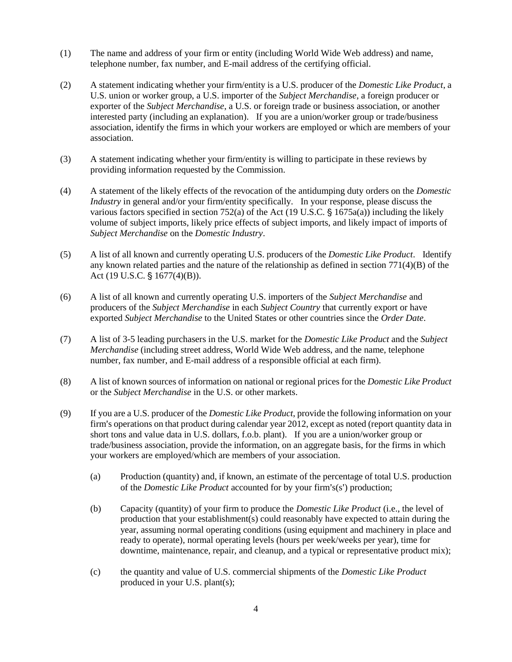- (1) The name and address of your firm or entity (including World Wide Web address) and name, telephone number, fax number, and E-mail address of the certifying official.
- (2) A statement indicating whether your firm/entity is a U.S. producer of the *Domestic Like Product*, a U.S. union or worker group, a U.S. importer of the *Subject Merchandise*, a foreign producer or exporter of the *Subject Merchandise*, a U.S. or foreign trade or business association, or another interested party (including an explanation). If you are a union/worker group or trade/business association, identify the firms in which your workers are employed or which are members of your association.
- (3) A statement indicating whether your firm/entity is willing to participate in these reviews by providing information requested by the Commission.
- (4) A statement of the likely effects of the revocation of the antidumping duty orders on the *Domestic Industry* in general and/or your firm/entity specifically. In your response, please discuss the various factors specified in section 752(a) of the Act (19 U.S.C.  $\S$  1675a(a)) including the likely volume of subject imports, likely price effects of subject imports, and likely impact of imports of *Subject Merchandise* on the *Domestic Industry*.
- (5) A list of all known and currently operating U.S. producers of the *Domestic Like Product*. Identify any known related parties and the nature of the relationship as defined in section  $771(4)(B)$  of the Act (19 U.S.C. § 1677(4)(B)).
- (6) A list of all known and currently operating U.S. importers of the *Subject Merchandise* and producers of the *Subject Merchandise* in each *Subject Country* that currently export or have exported *Subject Merchandise* to the United States or other countries since the *Order Date*.
- (7) A list of 3-5 leading purchasers in the U.S. market for the *Domestic Like Product* and the *Subject Merchandise* (including street address, World Wide Web address, and the name, telephone number, fax number, and E-mail address of a responsible official at each firm).
- (8) A list of known sources of information on national or regional prices for the *Domestic Like Product* or the *Subject Merchandise* in the U.S. or other markets.
- (9) If you are a U.S. producer of the *Domestic Like Product*, provide the following information on your firm's operations on that product during calendar year 2012, except as noted (report quantity data in short tons and value data in U.S. dollars, f.o.b. plant). If you are a union/worker group or trade/business association, provide the information, on an aggregate basis, for the firms in which your workers are employed/which are members of your association.
	- (a) Production (quantity) and, if known, an estimate of the percentage of total U.S. production of the *Domestic Like Product* accounted for by your firm's(s') production;
	- (b) Capacity (quantity) of your firm to produce the *Domestic Like Product* (i.e., the level of production that your establishment(s) could reasonably have expected to attain during the year, assuming normal operating conditions (using equipment and machinery in place and ready to operate), normal operating levels (hours per week/weeks per year), time for downtime, maintenance, repair, and cleanup, and a typical or representative product mix);
	- (c) the quantity and value of U.S. commercial shipments of the *Domestic Like Product* produced in your U.S. plant(s);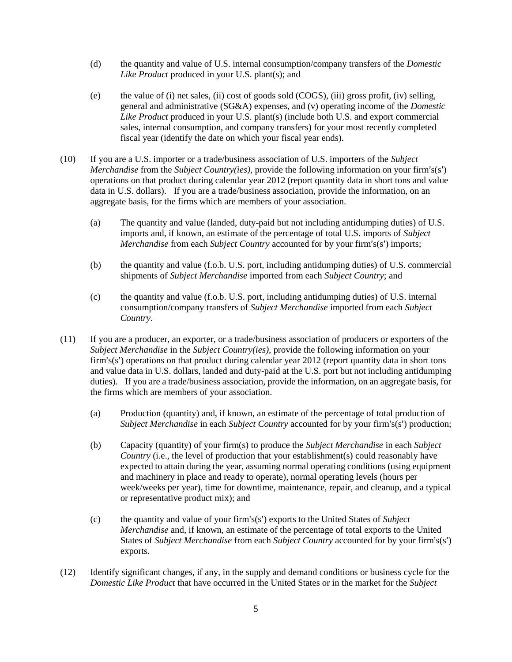- (d) the quantity and value of U.S. internal consumption/company transfers of the *Domestic Like Product* produced in your U.S. plant(s); and
- (e) the value of (i) net sales, (ii) cost of goods sold (COGS), (iii) gross profit, (iv) selling, general and administrative (SG&A) expenses, and (v) operating income of the *Domestic Like Product* produced in your U.S. plant(s) (include both U.S. and export commercial sales, internal consumption, and company transfers) for your most recently completed fiscal year (identify the date on which your fiscal year ends).
- (10) If you are a U.S. importer or a trade/business association of U.S. importers of the *Subject Merchandise* from the *Subject Country(ies)*, provide the following information on your firm's(s') operations on that product during calendar year 2012 (report quantity data in short tons and value data in U.S. dollars). If you are a trade/business association, provide the information, on an aggregate basis, for the firms which are members of your association.
	- (a) The quantity and value (landed, duty-paid but not including antidumping duties) of U.S. imports and, if known, an estimate of the percentage of total U.S. imports of *Subject Merchandise* from each *Subject Country* accounted for by your firm's(s') imports;
	- (b) the quantity and value (f.o.b. U.S. port, including antidumping duties) of U.S. commercial shipments of *Subject Merchandise* imported from each *Subject Country*; and
	- (c) the quantity and value (f.o.b. U.S. port, including antidumping duties) of U.S. internal consumption/company transfers of *Subject Merchandise* imported from each *Subject Country*.
- (11) If you are a producer, an exporter, or a trade/business association of producers or exporters of the *Subject Merchandise* in the *Subject Country(ies)*, provide the following information on your firm's(s') operations on that product during calendar year 2012 (report quantity data in short tons and value data in U.S. dollars, landed and duty-paid at the U.S. port but not including antidumping duties). If you are a trade/business association, provide the information, on an aggregate basis, for the firms which are members of your association.
	- (a) Production (quantity) and, if known, an estimate of the percentage of total production of *Subject Merchandise* in each *Subject Country* accounted for by your firm's(s') production;
	- (b) Capacity (quantity) of your firm(s) to produce the *Subject Merchandise* in each *Subject Country* (i.e., the level of production that your establishment(s) could reasonably have expected to attain during the year, assuming normal operating conditions (using equipment and machinery in place and ready to operate), normal operating levels (hours per week/weeks per year), time for downtime, maintenance, repair, and cleanup, and a typical or representative product mix); and
	- (c) the quantity and value of your firm's(s') exports to the United States of *Subject Merchandise* and, if known, an estimate of the percentage of total exports to the United States of *Subject Merchandise* from each *Subject Country* accounted for by your firm's(s') exports.
- (12) Identify significant changes, if any, in the supply and demand conditions or business cycle for the *Domestic Like Product* that have occurred in the United States or in the market for the *Subject*